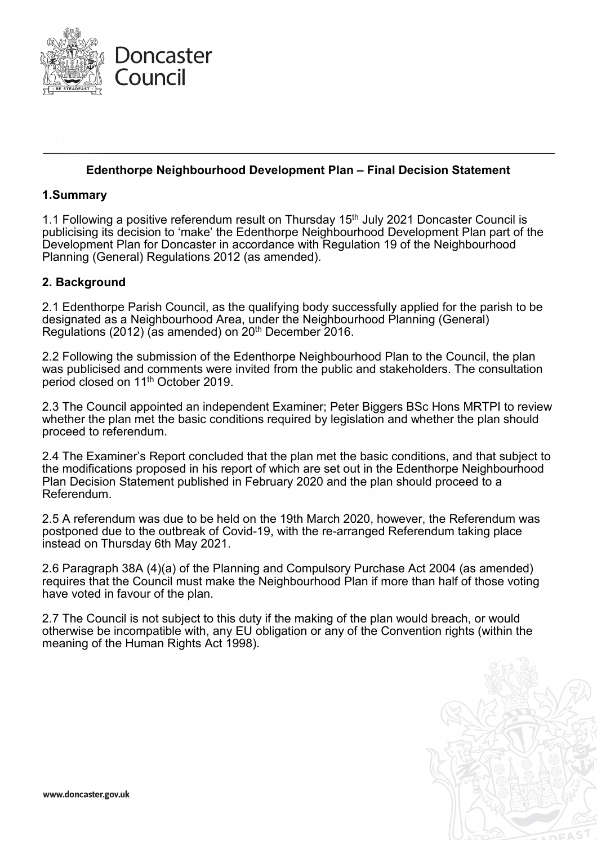

## **Edenthorpe Neighbourhood Development Plan – Final Decision Statement**

## **1.Summary**

1.1 Following a positive referendum result on Thursday 15<sup>th</sup> July 2021 Doncaster Council is publicising its decision to 'make' the Edenthorpe Neighbourhood Development Plan part of the Development Plan for Doncaster in accordance with Regulation 19 of the Neighbourhood Planning (General) Regulations 2012 (as amended).

## **2. Background**

2.1 Edenthorpe Parish Council, as the qualifying body successfully applied for the parish to be designated as a Neighbourhood Area, under the Neighbourhood Planning (General) Regulations (2012) (as amended) on 20th December 2016.

2.2 Following the submission of the Edenthorpe Neighbourhood Plan to the Council, the plan was publicised and comments were invited from the public and stakeholders. The consultation period closed on 11<sup>th</sup> October 2019.

2.3 The Council appointed an independent Examiner; Peter Biggers BSc Hons MRTPI to review whether the plan met the basic conditions required by legislation and whether the plan should proceed to referendum.

2.4 The Examiner's Report concluded that the plan met the basic conditions, and that subject to the modifications proposed in his report of which are set out in the Edenthorpe Neighbourhood Plan Decision Statement published in February 2020 and the plan should proceed to a Referendum.

2.5 A referendum was due to be held on the 19th March 2020, however, the Referendum was postponed due to the outbreak of Covid-19, with the re-arranged Referendum taking place instead on Thursday 6th May 2021.

2.6 Paragraph 38A (4)(a) of the Planning and Compulsory Purchase Act 2004 (as amended) requires that the Council must make the Neighbourhood Plan if more than half of those voting have voted in favour of the plan.

2.7 The Council is not subject to this duty if the making of the plan would breach, or would otherwise be incompatible with, any EU obligation or any of the Convention rights (within the meaning of the Human Rights Act 1998).